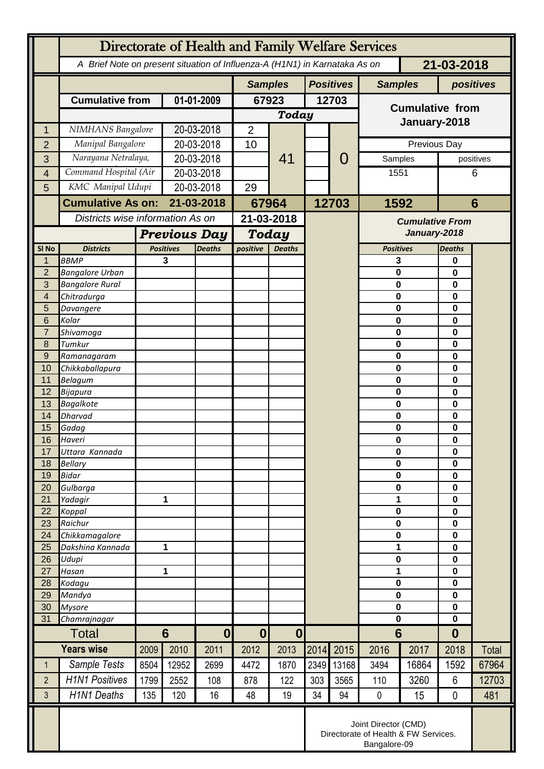|                  | Directorate of Health and Family Welfare Services                                        |                |                                   |                  |                                      |               |                  |       |                            |       |                            |       |
|------------------|------------------------------------------------------------------------------------------|----------------|-----------------------------------|------------------|--------------------------------------|---------------|------------------|-------|----------------------------|-------|----------------------------|-------|
|                  | 21-03-2018<br>A Brief Note on present situation of Influenza-A (H1N1) in Karnataka As on |                |                                   |                  |                                      |               |                  |       |                            |       |                            |       |
|                  |                                                                                          |                |                                   |                  | <b>Samples</b>                       |               | <b>Positives</b> |       | <b>Samples</b>             |       | positives                  |       |
|                  | <b>Cumulative from</b>                                                                   |                | 01-01-2009                        |                  | 67923                                |               | 12703            |       | <b>Cumulative from</b>     |       |                            |       |
|                  |                                                                                          |                |                                   |                  | Today                                |               |                  |       |                            |       |                            |       |
| 1                | NIMHANS Bangalore                                                                        |                | 20-03-2018                        |                  | $\overline{2}$                       |               |                  |       | January-2018               |       |                            |       |
| $\overline{2}$   | Manipal Bangalore                                                                        |                | 20-03-2018                        |                  | 10                                   | 41            |                  | O     | Previous Day               |       |                            |       |
| 3                | Narayana Netralaya,                                                                      |                | 20-03-2018                        |                  |                                      |               |                  |       | Samples                    |       | positives                  |       |
| $\overline{4}$   | Command Hospital (Air                                                                    |                | 20-03-2018                        |                  |                                      |               |                  |       | 1551                       |       |                            | 6     |
| 5                | KMC Manipal Udupi                                                                        |                | 20-03-2018                        |                  | 29                                   |               |                  |       |                            |       |                            |       |
|                  | <b>Cumulative As on:</b>                                                                 |                | 21-03-2018                        |                  | 67964                                |               | 12703            |       | 1592                       |       | $6\phantom{1}6$            |       |
|                  |                                                                                          |                | Districts wise information As on  |                  | 21-03-2018                           |               |                  |       | <b>Cumulative From</b>     |       |                            |       |
|                  |                                                                                          |                | <b>Previous Day</b>               |                  | <b>Today</b>                         |               |                  |       | January-2018               |       |                            |       |
| SI <sub>No</sub> | <b>Districts</b>                                                                         |                | <b>Positives</b><br><b>Deaths</b> |                  | positive                             | <b>Deaths</b> |                  |       | <b>Positives</b>           |       | <b>Deaths</b>              |       |
| 1                | <b>BBMP</b>                                                                              |                | 3                                 |                  |                                      |               |                  |       | 3                          |       | $\bf{0}$                   |       |
| $\overline{2}$   | <b>Bangalore Urban</b>                                                                   |                |                                   |                  |                                      |               |                  |       | $\mathbf 0$                |       | $\bf{0}$                   |       |
| 3                | <b>Bangalore Rural</b>                                                                   |                |                                   |                  |                                      |               |                  |       | $\mathbf 0$<br>$\mathbf 0$ |       | $\mathbf 0$                |       |
| 4<br>5           | Chitradurga<br>Davangere                                                                 |                |                                   |                  |                                      |               |                  |       | $\mathbf 0$                |       | $\bf{0}$<br>$\mathbf 0$    |       |
| 6                | Kolar                                                                                    |                |                                   |                  |                                      |               |                  |       | $\mathbf 0$                |       | 0                          |       |
| $\overline{7}$   | Shivamoga                                                                                |                |                                   |                  |                                      |               |                  |       | $\mathbf 0$                |       | $\bf{0}$                   |       |
| 8                | Tumkur                                                                                   |                |                                   |                  |                                      |               |                  |       | $\mathbf 0$                |       | $\mathbf 0$                |       |
| 9                | Ramanagaram                                                                              |                |                                   |                  |                                      |               |                  |       | $\mathbf 0$                |       | $\mathbf 0$                |       |
| 10<br>11         | Chikkaballapura<br><b>Belagum</b>                                                        |                |                                   |                  |                                      |               |                  |       | $\mathbf 0$<br>$\mathbf 0$ |       | $\bf{0}$<br>$\mathbf 0$    |       |
| 12               | Bijapura                                                                                 |                |                                   |                  |                                      |               |                  |       | $\mathbf 0$                |       | $\mathbf 0$                |       |
| 13               | <b>Bagalkote</b>                                                                         |                |                                   |                  |                                      |               |                  |       | $\mathbf 0$                |       | $\bf{0}$                   |       |
| 14               | Dharvad                                                                                  |                |                                   |                  |                                      |               |                  |       | $\mathbf 0$                |       | $\mathbf 0$                |       |
| 15               | Gadag                                                                                    |                |                                   |                  |                                      |               |                  |       | $\mathbf 0$                |       | $\mathbf 0$                |       |
| 16<br>17         | Haveri<br>Uttara Kannada                                                                 |                |                                   |                  |                                      |               |                  |       | $\bf{0}$<br>0              |       | 0<br>0                     |       |
| 18               | <b>Bellary</b>                                                                           |                |                                   |                  |                                      |               |                  |       | $\mathbf 0$                |       | 0                          |       |
| 19               | <b>Bidar</b>                                                                             |                |                                   |                  |                                      |               |                  |       | $\mathbf 0$                |       | $\mathbf 0$                |       |
| 20               | Gulbarga                                                                                 |                |                                   |                  |                                      |               |                  |       | $\mathbf 0$                |       | $\mathbf 0$                |       |
| 21               | Yadagir                                                                                  |                | 1                                 |                  |                                      |               |                  |       | 1                          |       | $\mathbf 0$<br>$\mathbf 0$ |       |
| 22<br>23         | Koppal<br>Raichur                                                                        |                |                                   |                  |                                      |               |                  |       | $\mathbf 0$<br>$\mathbf 0$ |       | 0                          |       |
| 24               | Chikkamagalore                                                                           |                |                                   |                  |                                      |               |                  |       | $\mathbf 0$                |       | $\mathbf 0$                |       |
| 25               | Dakshina Kannada                                                                         | 1              |                                   |                  |                                      |               |                  |       | 1                          |       | $\mathbf 0$                |       |
| 26               | Udupi                                                                                    |                |                                   |                  |                                      |               |                  |       | $\mathbf 0$                |       | $\mathbf 0$                |       |
| 27               | Hasan                                                                                    | 1              |                                   |                  |                                      |               |                  |       | 1<br>0                     |       | $\mathbf 0$                |       |
| 28<br>29         | Kodagu<br>Mandya                                                                         |                |                                   |                  |                                      |               |                  |       | $\mathbf 0$                |       | 0<br>$\mathbf 0$           |       |
| 30               | <b>Mysore</b>                                                                            |                |                                   |                  |                                      |               |                  |       | $\mathbf 0$                |       | $\mathbf 0$                |       |
| 31               | Chamrajnagar                                                                             |                |                                   |                  |                                      |               |                  |       | $\mathbf 0$                |       | $\mathbf 0$                |       |
| Total            |                                                                                          | $6\phantom{1}$ |                                   | $\boldsymbol{0}$ | $\boldsymbol{0}$<br>$\boldsymbol{0}$ |               |                  |       | 6                          |       | $\boldsymbol{0}$           |       |
|                  | <b>Years wise</b>                                                                        | 2009           | 2010                              | 2011             | 2012                                 | 2013          | 2014             | 2015  | 2016                       | 2017  | 2018                       | Total |
| $\mathbf 1$      | Sample Tests                                                                             | 8504           | 12952                             | 2699             | 4472                                 | 1870          | 2349             | 13168 | 3494                       | 16864 | 1592                       | 67964 |
| $\overline{2}$   | <b>H1N1 Positives</b>                                                                    | 1799           | 2552                              | 108              | 878                                  | 122           | 303              | 3565  | 110                        | 3260  | $6\phantom{1}$             | 12703 |
| 3                | <b>H1N1 Deaths</b>                                                                       | 135            | 120                               | 16               | 48                                   | 19            | 34               | 94    | $\pmb{0}$                  | 15    | 0                          | 481   |
|                  | Joint Director (CMD)<br>Directorate of Health & FW Services.<br>Bangalore-09             |                |                                   |                  |                                      |               |                  |       |                            |       |                            |       |